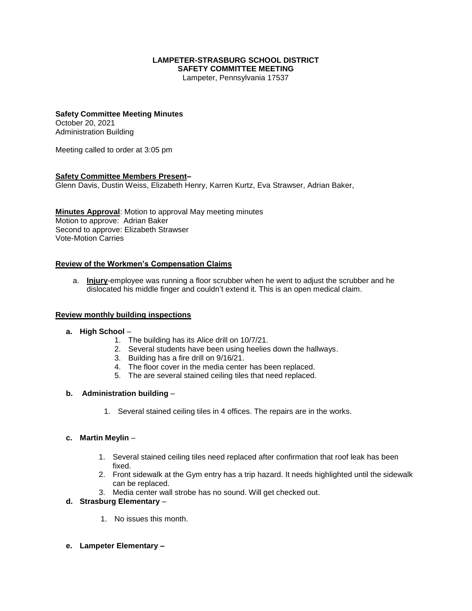# **LAMPETER-STRASBURG SCHOOL DISTRICT SAFETY COMMITTEE MEETING**

Lampeter, Pennsylvania 17537

## **Safety Committee Meeting Minutes**

October 20, 2021 Administration Building

Meeting called to order at 3:05 pm

# **Safety Committee Members Present–**

Glenn Davis, Dustin Weiss, Elizabeth Henry, Karren Kurtz, Eva Strawser, Adrian Baker,

**Minutes Approval**: Motion to approval May meeting minutes Motion to approve: Adrian Baker Second to approve: Elizabeth Strawser Vote-Motion Carries

# **Review of the Workmen's Compensation Claims**

a. **Injury**-employee was running a floor scrubber when he went to adjust the scrubber and he dislocated his middle finger and couldn't extend it. This is an open medical claim.

#### **Review monthly building inspections**

#### **a. High School** –

- 1. The building has its Alice drill on 10/7/21.
- 2. Several students have been using heelies down the hallways.
- 3. Building has a fire drill on 9/16/21.
- 4. The floor cover in the media center has been replaced.
- 5. The are several stained ceiling tiles that need replaced.

#### **b. Administration building** –

1. Several stained ceiling tiles in 4 offices. The repairs are in the works.

#### **c. Martin Meylin** –

- 1. Several stained ceiling tiles need replaced after confirmation that roof leak has been fixed.
- 2. Front sidewalk at the Gym entry has a trip hazard. It needs highlighted until the sidewalk can be replaced.
- 3. Media center wall strobe has no sound. Will get checked out.

# **d. Strasburg Elementary** –

- 1. No issues this month.
- **e. Lampeter Elementary –**